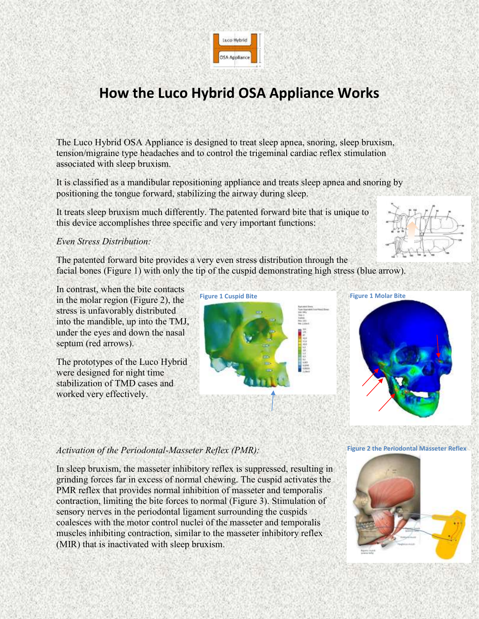

# **How the Luco Hybrid OSA Appliance Works**

The Luco Hybrid OSA Appliance is designed to treat sleep apnea, snoring, sleep bruxism, tension/migraine type headaches and to control the trigeminal cardiac reflex stimulation associated with sleep bruxism.

It is classified as a mandibular repositioning appliance and treats sleep apnea and snoring by positioning the tongue forward, stabilizing the airway during sleep.

It treats sleep bruxism much differently. The patented forward bite that is unique to this device accomplishes three specific and very important functions:

## *Even Stress Distribution:*

The patented forward bite provides a very even stress distribution through the facial bones (Figure 1) with only the tip of the cuspid demonstrating high stress (blue arrow).

In contrast, when the bite contacts in the molar region (Figure 2), the stress is unfavorably distributed into the mandible, up into the TMJ, under the eyes and down the nasal septum (red arrows).

The prototypes of the Luco Hybrid were designed for night time stabilization of TMD cases and worked very effectively.





# *Activation of the Periodontal-Masseter Reflex (PMR):*

In sleep bruxism, the masseter inhibitory reflex is suppressed, resulting in grinding forces far in excess of normal chewing. The cuspid activates the PMR reflex that provides normal inhibition of masseter and temporalis contraction, limiting the bite forces to normal (Figure 3). Stimulation of sensory nerves in the periodontal ligament surrounding the cuspids coalesces with the motor control nuclei of the masseter and temporalis muscles inhibiting contraction, similar to the masseter inhibitory reflex (MIR) that is inactivated with sleep bruxism.

#### **Figure 2 the Periodontal Masseter Reflex**